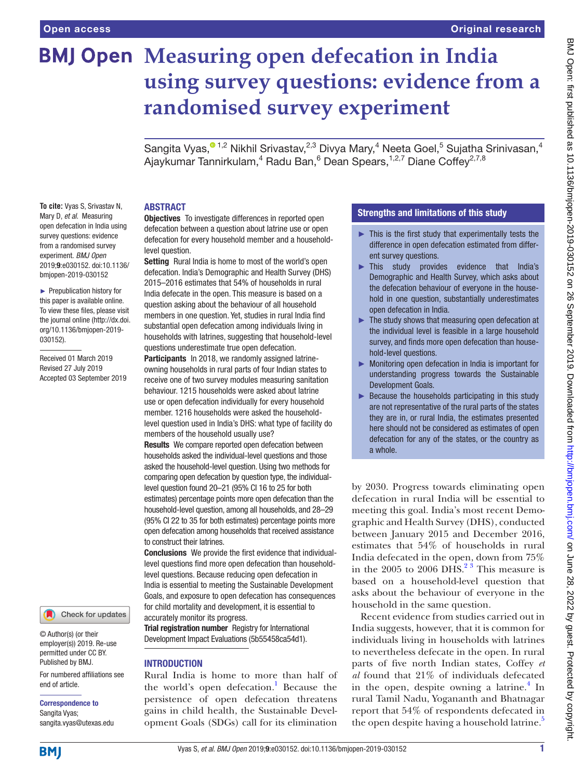# **BMJ Open Measuring open defecation in India using survey questions: evidence from a randomised survey experiment**

Sangita Vyas, $^{\circ}$ 1,2 Nikhil Srivastav,<sup>2,3</sup> Divya Mary,<sup>4</sup> Neeta Goel,<sup>5</sup> Sujatha Srinivasan,<sup>4</sup> Ajaykumar Tannirkulam,<sup>4</sup> Radu Ban,<sup>6</sup> Dean Spears,<sup>1,2,7</sup> Diane Coffey<sup>2,7,8</sup>

### **ABSTRACT**

**To cite:** Vyas S, Srivastav N, Mary D, *et al*. Measuring open defecation in India using survey questions: evidence from a randomised survey experiment. *BMJ Open* 2019;9:e030152. doi:10.1136/ bmjopen-2019-030152

► Prepublication history for this paper is available online. To view these files, please visit the journal online (http://dx.doi. org/10.1136/bmjopen-2019- 030152).

Received 01 March 2019 Revised 27 July 2019 Accepted 03 September 2019

# Check for updates

© Author(s) (or their employer(s)) 2019. Re-use permitted under CC BY. Published by BMJ.

For numbered affiliations see end of article.

## Correspondence to Sangita Vyas;

sangita.vyas@utexas.edu

**Objectives** To investigate differences in reported open defecation between a question about latrine use or open defecation for every household member and a householdlevel question.

Setting Rural India is home to most of the world's open defecation. India's Demographic and Health Survey (DHS) 2015–2016 estimates that 54% of households in rural India defecate in the open. This measure is based on a question asking about the behaviour of all household members in one question. Yet, studies in rural India find substantial open defecation among individuals living in households with latrines, suggesting that household-level questions underestimate true open defecation.

Participants In 2018, we randomly assigned latrineowning households in rural parts of four Indian states to receive one of two survey modules measuring sanitation behaviour. 1215 households were asked about latrine use or open defecation individually for every household member. 1216 households were asked the householdlevel question used in India's DHS: what type of facility do members of the household usually use?

Results We compare reported open defecation between households asked the individual-level questions and those asked the household-level question. Using two methods for comparing open defecation by question type, the individuallevel question found 20–21 (95% CI 16 to 25 for both estimates) percentage points more open defecation than the household-level question, among all households, and 28–29 (95% CI 22 to 35 for both estimates) percentage points more open defecation among households that received assistance to construct their latrines.

Conclusions We provide the first evidence that individuallevel questions find more open defecation than householdlevel questions. Because reducing open defecation in India is essential to meeting the Sustainable Development Goals, and exposure to open defecation has consequences for child mortality and development, it is essential to accurately monitor its progress.

**Trial registration number** Registry for International Development Impact Evaluations (5b55458ca54d1).

## **INTRODUCTION**

Rural India is home to more than half of the world's open defecation.<sup>1</sup> Because the persistence of open defecation threatens gains in child health, the Sustainable Development Goals (SDGs) call for its elimination

## Strengths and limitations of this study

- $\blacktriangleright$  This is the first study that experimentally tests the difference in open defecation estimated from different survey questions.
- ► This study provides evidence that India's Demographic and Health Survey, which asks about the defecation behaviour of everyone in the household in one question, substantially underestimates open defecation in India.
- ► The study shows that measuring open defecation at the individual level is feasible in a large household survey, and finds more open defecation than household-level questions.
- ► Monitoring open defecation in India is important for understanding progress towards the Sustainable Development Goals.
- $\blacktriangleright$  Because the households participating in this study are not representative of the rural parts of the states they are in, or rural India, the estimates presented here should not be considered as estimates of open defecation for any of the states, or the country as a whole.

by 2030. Progress towards eliminating open defecation in rural India will be essential to meeting this goal. India's most recent Demographic and Health Survey (DHS), conducted between January 2015 and December 2016, estimates that 54% of households in rural India defecated in the open, down from 75% in the 2005 to 2006 DHS. $^{23}$  This measure is based on a household-level question that asks about the behaviour of everyone in the household in the same question.

Recent evidence from studies carried out in India suggests, however, that it is common for individuals living in households with latrines to nevertheless defecate in the open. In rural parts of five north Indian states, Coffey *et al* found that 21% of individuals defecated in the open, despite owning a latrine.<sup>[4](#page-8-2)</sup> In rural Tamil Nadu, Yogananth and Bhatnagar report that 54% of respondents defecated in the open despite having a household latrine.<sup>[5](#page-8-3)</sup>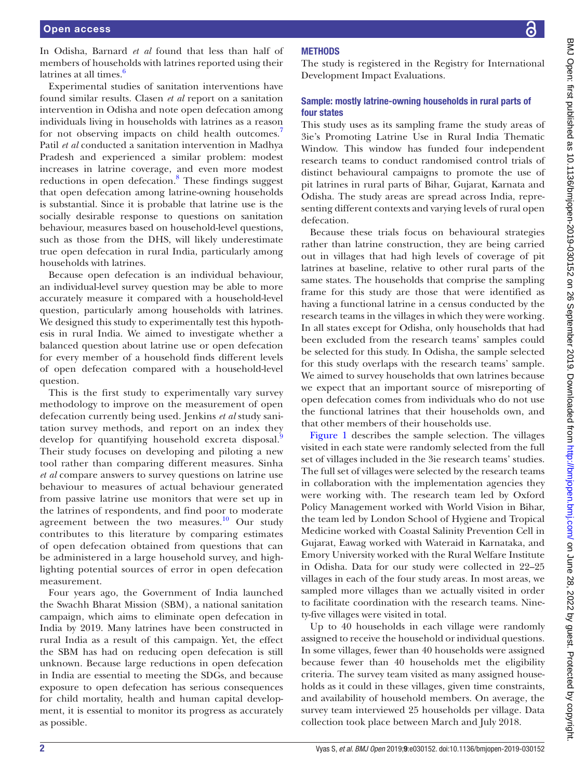In Odisha, Barnard *et al* found that less than half of members of households with latrines reported using their latrines at all times. $\overline{6}$  $\overline{6}$  $\overline{6}$ 

Experimental studies of sanitation interventions have found similar results. Clasen *et al* report on a sanitation intervention in Odisha and note open defecation among individuals living in households with latrines as a reason for not observing impacts on child health outcomes.<sup>[7](#page-8-5)</sup> Patil *et al* conducted a sanitation intervention in Madhya Pradesh and experienced a similar problem: modest increases in latrine coverage, and even more modest reductions in open defecation.<sup>[8](#page-8-6)</sup> These findings suggest that open defecation among latrine-owning households is substantial. Since it is probable that latrine use is the socially desirable response to questions on sanitation behaviour, measures based on household-level questions, such as those from the DHS, will likely underestimate true open defecation in rural India, particularly among households with latrines.

Because open defecation is an individual behaviour, an individual-level survey question may be able to more accurately measure it compared with a household-level question, particularly among households with latrines. We designed this study to experimentally test this hypothesis in rural India. We aimed to investigate whether a balanced question about latrine use or open defecation for every member of a household finds different levels of open defecation compared with a household-level question.

This is the first study to experimentally vary survey methodology to improve on the measurement of open defecation currently being used. Jenkins *et al* study sanitation survey methods, and report on an index they develop for quantifying household excreta disposal.<sup>[9](#page-8-7)</sup> Their study focuses on developing and piloting a new tool rather than comparing different measures. Sinha *et al* compare answers to survey questions on latrine use behaviour to measures of actual behaviour generated from passive latrine use monitors that were set up in the latrines of respondents, and find poor to moderate agreement between the two measures.<sup>[10](#page-8-8)</sup> Our study contributes to this literature by comparing estimates of open defecation obtained from questions that can be administered in a large household survey, and highlighting potential sources of error in open defecation measurement.

Four years ago, the Government of India launched the Swachh Bharat Mission (SBM), a national sanitation campaign, which aims to eliminate open defecation in India by 2019. Many latrines have been constructed in rural India as a result of this campaign. Yet, the effect the SBM has had on reducing open defecation is still unknown. Because large reductions in open defecation in India are essential to meeting the SDGs, and because exposure to open defecation has serious consequences for child mortality, health and human capital development, it is essential to monitor its progress as accurately as possible.

# **METHODS**

The study is registered in the Registry for International Development Impact Evaluations.

## Sample: mostly latrine-owning households in rural parts of four states

This study uses as its sampling frame the study areas of 3ie's Promoting Latrine Use in Rural India Thematic Window. This window has funded four independent research teams to conduct randomised control trials of distinct behavioural campaigns to promote the use of pit latrines in rural parts of Bihar, Gujarat, Karnata and Odisha. The study areas are spread across India, representing different contexts and varying levels of rural open defecation.

Because these trials focus on behavioural strategies rather than latrine construction, they are being carried out in villages that had high levels of coverage of pit latrines at baseline, relative to other rural parts of the same states. The households that comprise the sampling frame for this study are those that were identified as having a functional latrine in a census conducted by the research teams in the villages in which they were working. In all states except for Odisha, only households that had been excluded from the research teams' samples could be selected for this study. In Odisha, the sample selected for this study overlaps with the research teams' sample. We aimed to survey households that own latrines because we expect that an important source of misreporting of open defecation comes from individuals who do not use the functional latrines that their households own, and that other members of their households use.

[Figure](#page-2-0) 1 describes the sample selection. The villages visited in each state were randomly selected from the full set of villages included in the 3ie research teams' studies. The full set of villages were selected by the research teams in collaboration with the implementation agencies they were working with. The research team led by Oxford Policy Management worked with World Vision in Bihar, the team led by London School of Hygiene and Tropical Medicine worked with Coastal Salinity Prevention Cell in Gujarat, Eawag worked with Wateraid in Karnataka, and Emory University worked with the Rural Welfare Institute in Odisha. Data for our study were collected in 22–25 villages in each of the four study areas. In most areas, we sampled more villages than we actually visited in order to facilitate coordination with the research teams. Ninety-five villages were visited in total.

Up to 40 households in each village were randomly assigned to receive the household or individual questions. In some villages, fewer than 40 households were assigned because fewer than 40 households met the eligibility criteria. The survey team visited as many assigned households as it could in these villages, given time constraints, and availability of household members. On average, the survey team interviewed 25 households per village. Data collection took place between March and July 2018.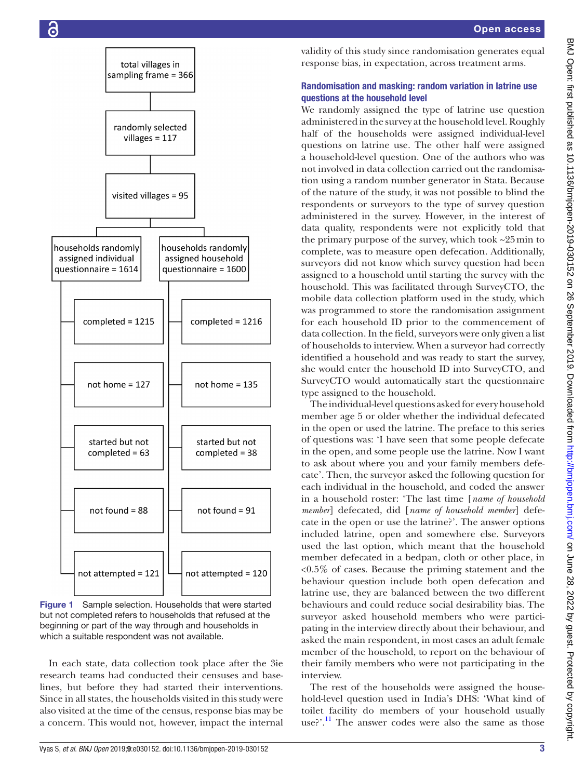

<span id="page-2-0"></span>Figure 1 Sample selection. Households that were started but not completed refers to households that refused at the beginning or part of the way through and households in which a suitable respondent was not available.

In each state, data collection took place after the 3ie research teams had conducted their censuses and baselines, but before they had started their interventions. Since in all states, the households visited in this study were also visited at the time of the census, response bias may be a concern. This would not, however, impact the internal validity of this study since randomisation generates equal response bias, in expectation, across treatment arms.

## Randomisation and masking: random variation in latrine use questions at the household level

We randomly assigned the type of latrine use question administered in the survey at the household level. Roughly half of the households were assigned individual-level questions on latrine use. The other half were assigned a household-level question. One of the authors who was not involved in data collection carried out the randomisation using a random number generator in Stata. Because of the nature of the study, it was not possible to blind the respondents or surveyors to the type of survey question administered in the survey. However, in the interest of data quality, respondents were not explicitly told that the primary purpose of the survey, which took  $\sim 25$  min to complete, was to measure open defecation. Additionally, surveyors did not know which survey question had been assigned to a household until starting the survey with the household. This was facilitated through SurveyCTO, the mobile data collection platform used in the study, which was programmed to store the randomisation assignment for each household ID prior to the commencement of data collection. In the field, surveyors were only given a list of households to interview. When a surveyor had correctly identified a household and was ready to start the survey, she would enter the household ID into SurveyCTO, and SurveyCTO would automatically start the questionnaire type assigned to the household.

The individual-level questions asked for every household member age 5 or older whether the individual defecated in the open or used the latrine. The preface to this series of questions was: 'I have seen that some people defecate in the open, and some people use the latrine. Now I want to ask about where you and your family members defecate'. Then, the surveyor asked the following question for each individual in the household, and coded the answer in a household roster: 'The last time [*name of household member*] defecated, did [*name of household member*] defecate in the open or use the latrine?'. The answer options included latrine, open and somewhere else. Surveyors used the last option, which meant that the household member defecated in a bedpan, cloth or other place, in <0.5% of cases. Because the priming statement and the behaviour question include both open defecation and latrine use, they are balanced between the two different behaviours and could reduce social desirability bias. The surveyor asked household members who were participating in the interview directly about their behaviour, and asked the main respondent, in most cases an adult female member of the household, to report on the behaviour of their family members who were not participating in the interview.

The rest of the households were assigned the household-level question used in India's DHS: 'What kind of toilet facility do members of your household usually use?'.<sup>11</sup> The answer codes were also the same as those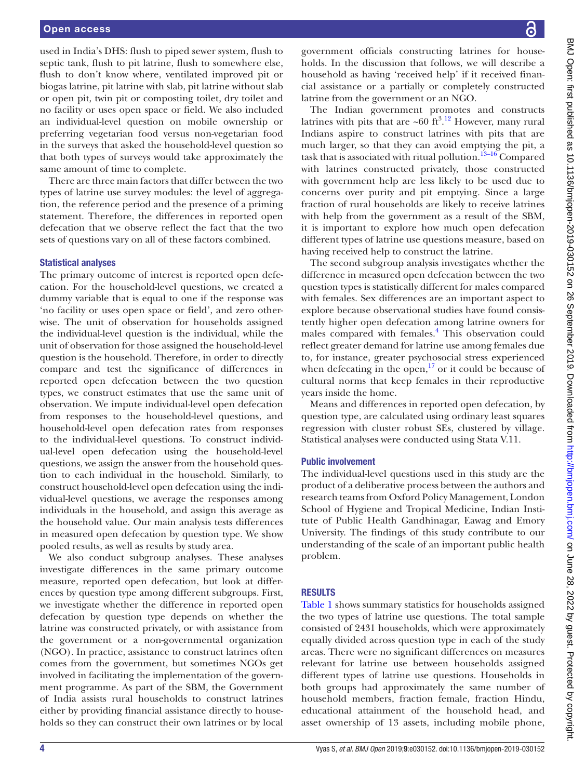used in India's DHS: flush to piped sewer system, flush to septic tank, flush to pit latrine, flush to somewhere else, flush to don't know where, ventilated improved pit or biogas latrine, pit latrine with slab, pit latrine without slab or open pit, twin pit or composting toilet, dry toilet and no facility or uses open space or field. We also included an individual-level question on mobile ownership or preferring vegetarian food versus non-vegetarian food in the surveys that asked the household-level question so that both types of surveys would take approximately the same amount of time to complete.

There are three main factors that differ between the two types of latrine use survey modules: the level of aggregation, the reference period and the presence of a priming statement. Therefore, the differences in reported open defecation that we observe reflect the fact that the two sets of questions vary on all of these factors combined.

#### Statistical analyses

The primary outcome of interest is reported open defecation. For the household-level questions, we created a dummy variable that is equal to one if the response was 'no facility or uses open space or field', and zero otherwise. The unit of observation for households assigned the individual-level question is the individual, while the unit of observation for those assigned the household-level question is the household. Therefore, in order to directly compare and test the significance of differences in reported open defecation between the two question types, we construct estimates that use the same unit of observation. We impute individual-level open defecation from responses to the household-level questions, and household-level open defecation rates from responses to the individual-level questions. To construct individual-level open defecation using the household-level questions, we assign the answer from the household question to each individual in the household. Similarly, to construct household-level open defecation using the individual-level questions, we average the responses among individuals in the household, and assign this average as the household value. Our main analysis tests differences in measured open defecation by question type. We show pooled results, as well as results by study area.

We also conduct subgroup analyses. These analyses investigate differences in the same primary outcome measure, reported open defecation, but look at differences by question type among different subgroups. First, we investigate whether the difference in reported open defecation by question type depends on whether the latrine was constructed privately, or with assistance from the government or a non-governmental organization (NGO). In practice, assistance to construct latrines often comes from the government, but sometimes NGOs get involved in facilitating the implementation of the government programme. As part of the SBM, the Government of India assists rural households to construct latrines either by providing financial assistance directly to households so they can construct their own latrines or by local government officials constructing latrines for households. In the discussion that follows, we will describe a household as having 'received help' if it received financial assistance or a partially or completely constructed latrine from the government or an NGO.

The Indian government promotes and constructs latrines with pits that are  $\sim 60 \text{ ft}^{3.12}$  $\sim 60 \text{ ft}^{3.12}$  $\sim 60 \text{ ft}^{3.12}$  However, many rural Indians aspire to construct latrines with pits that are much larger, so that they can avoid emptying the pit, a task that is associated with ritual pollution.<sup>13–16</sup> Compared with latrines constructed privately, those constructed with government help are less likely to be used due to concerns over purity and pit emptying. Since a large fraction of rural households are likely to receive latrines with help from the government as a result of the SBM, it is important to explore how much open defecation different types of latrine use questions measure, based on having received help to construct the latrine.

The second subgroup analysis investigates whether the difference in measured open defecation between the two question types is statistically different for males compared with females. Sex differences are an important aspect to explore because observational studies have found consistently higher open defecation among latrine owners for males compared with females.<sup>[4](#page-8-2)</sup> This observation could reflect greater demand for latrine use among females due to, for instance, greater psychosocial stress experienced when defecating in the open, $17$  or it could be because of cultural norms that keep females in their reproductive years inside the home.

Means and differences in reported open defecation, by question type, are calculated using ordinary least squares regression with cluster robust SEs, clustered by village. Statistical analyses were conducted using Stata V.11.

#### Public involvement

The individual-level questions used in this study are the product of a deliberative process between the authors and research teams from Oxford Policy Management, London School of Hygiene and Tropical Medicine, Indian Institute of Public Health Gandhinagar, Eawag and Emory University. The findings of this study contribute to our understanding of the scale of an important public health problem.

#### **RESULTS**

[Table](#page-4-0) 1 shows summary statistics for households assigned the two types of latrine use questions. The total sample consisted of 2431 households, which were approximately equally divided across question type in each of the study areas. There were no significant differences on measures relevant for latrine use between households assigned different types of latrine use questions. Households in both groups had approximately the same number of household members, fraction female, fraction Hindu, educational attainment of the household head, and asset ownership of 13 assets, including mobile phone,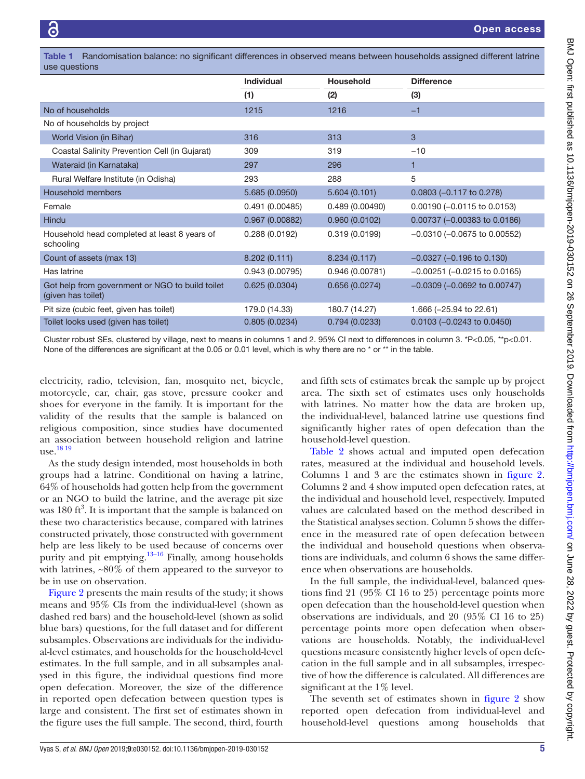schooling

(given has toilet)

| Randomisation balance: no significant differences in observed means between households assigned different latrine<br>Table 1<br>use questions |                   |                  |                                   |  |  |  |
|-----------------------------------------------------------------------------------------------------------------------------------------------|-------------------|------------------|-----------------------------------|--|--|--|
|                                                                                                                                               | <b>Individual</b> | <b>Household</b> | <b>Difference</b>                 |  |  |  |
|                                                                                                                                               | (1)               | (2)              | (3)                               |  |  |  |
| No of households                                                                                                                              | 1215              | 1216             | $-1$                              |  |  |  |
| No of households by project                                                                                                                   |                   |                  |                                   |  |  |  |
| World Vision (in Bihar)                                                                                                                       | 316               | 313              | 3                                 |  |  |  |
| Coastal Salinity Prevention Cell (in Gujarat)                                                                                                 | 309               | 319              | $-10$                             |  |  |  |
| Wateraid (in Karnataka)                                                                                                                       | 297               | 296              |                                   |  |  |  |
| Rural Welfare Institute (in Odisha)                                                                                                           | 293               | 288              | 5                                 |  |  |  |
| Household members                                                                                                                             | 5.685 (0.0950)    | 5.604(0.101)     | 0.0803 (-0.117 to 0.278)          |  |  |  |
| Female                                                                                                                                        | 0.491(0.00485)    | 0.489(0.00490)   | 0.00190 (-0.0115 to 0.0153)       |  |  |  |
| Hindu                                                                                                                                         | 0.967(0.00882)    | 0.960(0.0102)    | 0.00737 (-0.00383 to 0.0186)      |  |  |  |
| Household head completed at least 8 years of                                                                                                  | 0.288(0.0192)     | 0.319(0.0199)    | $-0.0310$ ( $-0.0675$ to 0.00552) |  |  |  |

<span id="page-4-0"></span>

| Cluster robust SEs, clustered by village, next to means in columns 1 and 2.95% CI next to differences in column 3. *P<0.05, **p<0.01. |  |
|---------------------------------------------------------------------------------------------------------------------------------------|--|
| None of the differences are significant at the 0.05 or 0.01 level, which is why there are no * or ** in the table.                    |  |

Count of assets (max 13) 8.202 (0.111) 8.234 (0.117) −0.0327 (−0.196 to 0.130) Has latrine 0.943 (0.00795) 0.946 (0.00781) −0.00251 (−0.0215 to 0.0165)

Pit size (cubic feet, given has toilet) 179.0 (14.33) 180.7 (14.27) 1.666 (−25.94 to 22.61) Toilet looks used (given has toilet) 0.805 (0.0234) 0.794 (0.0233) 0.0103 (−0.0243 to 0.0450)

electricity, radio, television, fan, mosquito net, bicycle, motorcycle, car, chair, gas stove, pressure cooker and shoes for everyone in the family. It is important for the validity of the results that the sample is balanced on religious composition, since studies have documented an association between household religion and latrine use. [18 19](#page-8-13)

Got help from government or NGO to build toilet

As the study design intended, most households in both groups had a latrine. Conditional on having a latrine, 64% of households had gotten help from the government or an NGO to build the latrine, and the average pit size was 180 ft<sup>3</sup>. It is important that the sample is balanced on these two characteristics because, compared with latrines constructed privately, those constructed with government help are less likely to be used because of concerns over purity and pit emptying.<sup>[13–16](#page-8-11)</sup> Finally, among households with latrines, ~80% of them appeared to the surveyor to be in use on observation.

[Figure](#page-5-0) 2 presents the main results of the study; it shows means and 95% CIs from the individual-level (shown as dashed red bars) and the household-level (shown as solid blue bars) questions, for the full dataset and for different subsamples. Observations are individuals for the individual-level estimates, and households for the household-level estimates. In the full sample, and in all subsamples analysed in this figure, the individual questions find more open defecation. Moreover, the size of the difference in reported open defecation between question types is large and consistent. The first set of estimates shown in the figure uses the full sample. The second, third, fourth

and fifth sets of estimates break the sample up by project area. The sixth set of estimates uses only households with latrines. No matter how the data are broken up, the individual-level, balanced latrine use questions find significantly higher rates of open defecation than the household-level question.

0.625 (0.0304) 0.656 (0.0274) −0.0309 (−0.0692 to 0.00747)

[Table](#page-6-0) 2 shows actual and imputed open defecation rates, measured at the individual and household levels. Columns 1 and 3 are the estimates shown in [figure](#page-5-0) 2. Columns 2 and 4 show imputed open defecation rates, at the individual and household level, respectively. Imputed values are calculated based on the method described in the Statistical analyses section. Column 5 shows the difference in the measured rate of open defecation between the individual and household questions when observations are individuals, and column 6 shows the same difference when observations are households.

In the full sample, the individual-level, balanced questions find 21 (95% CI 16 to 25) percentage points more open defecation than the household-level question when observations are individuals, and 20 (95% CI 16 to 25) percentage points more open defecation when observations are households. Notably, the individual-level questions measure consistently higher levels of open defecation in the full sample and in all subsamples, irrespective of how the difference is calculated. All differences are significant at the 1% level.

The seventh set of estimates shown in [figure](#page-5-0) 2 show reported open defecation from individual-level and household-level questions among households that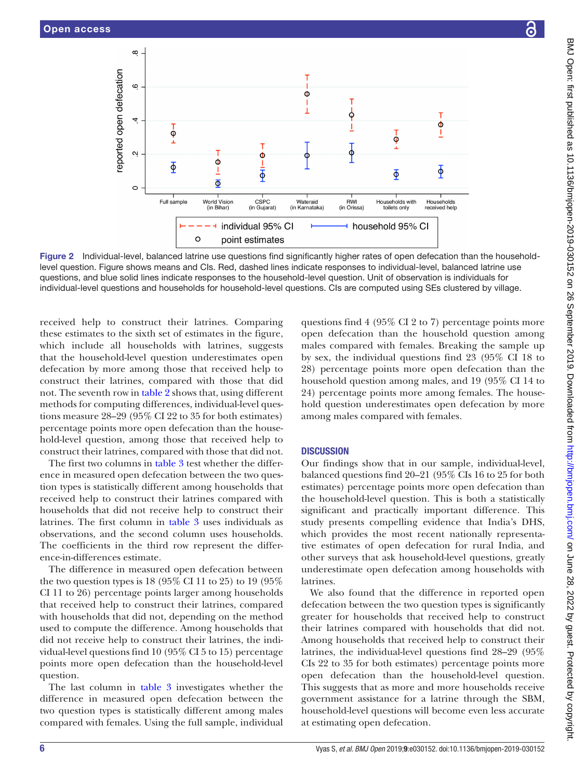

Figure 2 Individual-level, balanced latrine use questions find significantly higher rates of open defecation than the householdlevel question. Figure shows means and CIs. Red, dashed lines indicate responses to individual-level, balanced latrine use questions, and blue solid lines indicate responses to the household-level question. Unit of observation is individuals for individual-level questions and households for household-level questions. CIs are computed using SEs clustered by village.

received help to construct their latrines. Comparing these estimates to the sixth set of estimates in the figure, which include all households with latrines, suggests that the household-level question underestimates open defecation by more among those that received help to construct their latrines, compared with those that did not. The seventh row in [table](#page-6-0) 2 shows that, using different methods for computing differences, individual-level questions measure 28–29 (95% CI 22 to 35 for both estimates) percentage points more open defecation than the household-level question, among those that received help to construct their latrines, compared with those that did not.

The first two columns in [table](#page-7-0) 3 test whether the difference in measured open defecation between the two question types is statistically different among households that received help to construct their latrines compared with households that did not receive help to construct their latrines. The first column in [table](#page-7-0) 3 uses individuals as observations, and the second column uses households. The coefficients in the third row represent the difference-in-differences estimate.

The difference in measured open defecation between the two question types is  $18 (95\% \text{ CI} 11 \text{ to } 25)$  to  $19 (95\%$ CI 11 to 26) percentage points larger among households that received help to construct their latrines, compared with households that did not, depending on the method used to compute the difference. Among households that did not receive help to construct their latrines, the individual-level questions find 10 (95% CI 5 to 15) percentage points more open defecation than the household-level question.

The last column in [table](#page-7-0) 3 investigates whether the difference in measured open defecation between the two question types is statistically different among males compared with females. Using the full sample, individual <span id="page-5-0"></span>questions find 4 (95% CI 2 to 7) percentage points more open defecation than the household question among males compared with females. Breaking the sample up by sex, the individual questions find 23 (95% CI 18 to 28) percentage points more open defecation than the household question among males, and 19 (95% CI 14 to 24) percentage points more among females. The household question underestimates open defecation by more among males compared with females.

### **DISCUSSION**

Our findings show that in our sample, individual-level, balanced questions find 20–21 (95% CIs 16 to 25 for both estimates) percentage points more open defecation than the household-level question. This is both a statistically significant and practically important difference. This study presents compelling evidence that India's DHS, which provides the most recent nationally representative estimates of open defecation for rural India, and other surveys that ask household-level questions, greatly underestimate open defecation among households with latrines.

We also found that the difference in reported open defecation between the two question types is significantly greater for households that received help to construct their latrines compared with households that did not. Among households that received help to construct their latrines, the individual-level questions find 28–29 (95% CIs 22 to 35 for both estimates) percentage points more open defecation than the household-level question. This suggests that as more and more households receive government assistance for a latrine through the SBM, household-level questions will become even less accurate at estimating open defecation.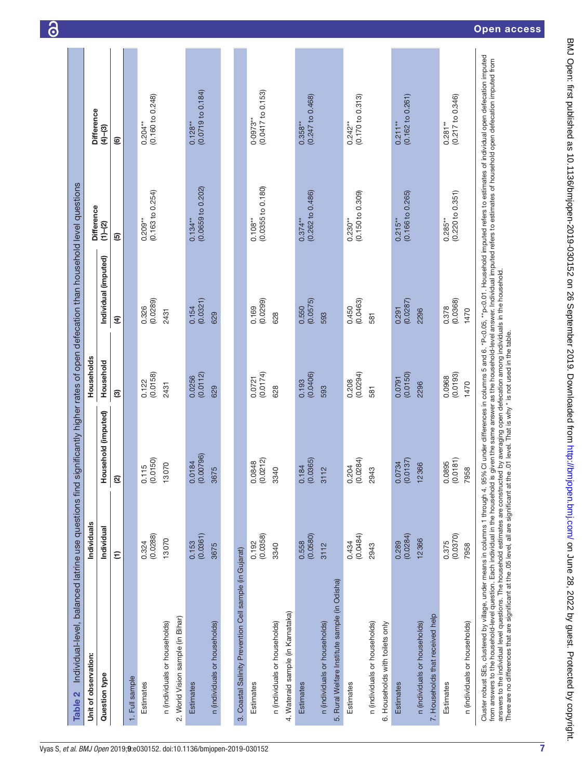| Unit of observation:                                    | Individuals       |                     | Households         |                      | <b>Difference</b>                         | <b>Difference</b>                    |
|---------------------------------------------------------|-------------------|---------------------|--------------------|----------------------|-------------------------------------------|--------------------------------------|
| Question type                                           | Individual        | Household (imputed) | Household          | Individual (imputed) | $(1) - (2)$                               | $(4) - (3)$                          |
|                                                         | $\widehat{E}$     | <u>ର</u>            | ඔ                  | E                    | ම                                         | ම                                    |
| 1. Full sample                                          |                   |                     |                    |                      |                                           |                                      |
| Estimates                                               | (0.0288)<br>0.324 | (0.0150)<br>0.115   | (0.0158)<br>0.122  | (0.0289)<br>0.326    | (0.163 to 0.254)<br>$0.209***$            | (0.160 to 0.248)<br>$0.204***$       |
| n (individuals or households)                           | 13070             | 13070               | 2431               | 2431                 |                                           |                                      |
| 2. World Vision sample (in Bihar)                       |                   |                     |                    |                      |                                           |                                      |
| Estimates                                               | (0.0361)<br>0.153 | (0.00796)<br>0.0184 | (0.0112)<br>0.0256 | (0.0321)<br>0.154    | (0.0659 to 0.202)<br>$0.134***$           | $(0.0719$ to $0.184)$<br>$0.128***$  |
| n (individuals or households)                           | 3675              | 3675                | 629                | 629                  |                                           |                                      |
|                                                         |                   |                     |                    |                      |                                           |                                      |
| 3. Coastal Salinity Prevention Cell sample (in Gujarat) |                   |                     |                    |                      |                                           |                                      |
| Estimates                                               | (0.0358)<br>0.192 | (0.0212)<br>0.0848  | (0.0174)<br>0.0721 | (0.0299)<br>0.169    | (0.0355 to 0.180)<br>$0.108***$           | $(0.0417$ to $0.153)$<br>$0.0973***$ |
| n (individuals or households)                           | 3340              | 3340                | 628                | 628                  |                                           |                                      |
| 4. Wateraid sample (in Karnataka)                       |                   |                     |                    |                      |                                           |                                      |
| Estimates                                               | (0.0580)<br>0.558 | (0.0365)<br>0.184   | (0.0406)<br>0.193  | (0.0575)<br>0.550    | $(0.262 \text{ to } 0.486)$<br>$0.374***$ | $(0.247$ to $0.468)$<br>$0.358***$   |
| n (individuals or households)                           | 3112              | 3112                | 593                | 593                  |                                           |                                      |
| 5. Rural Welfare Institute sample (in Odisha)           |                   |                     |                    |                      |                                           |                                      |
| Estimates                                               | (0.0484)<br>0.434 | (0.0284)<br>0.204   | (0.0294)<br>0.208  | (0.0463)<br>0.450    | (0.150 to 0.309)<br>$0.230***$            | (0.170 to 0.313)<br>$0.242***$       |
| n (individuals or households)                           | 2943              | 2943                | 581                | 581                  |                                           |                                      |
| 6. Households with toilets only                         |                   |                     |                    |                      |                                           |                                      |
| Estimates                                               | (0.0284)<br>0.289 | (0.0137)<br>0.0734  | (0.0150)<br>0.0791 | (0.0287)<br>0.291    | (0.166 t00.265)<br>$0.215**$              | (0.162 to 0.261)<br>$0.211**$        |
| n (individuals or households)                           | 12366             | 12366               | 2296               | 2296                 |                                           |                                      |
| 7. Households that received help                        |                   |                     |                    |                      |                                           |                                      |
| Estimates                                               | (0.0370)<br>0.375 | 0.0181<br>0.0895    | (0.0193)<br>0.0968 | (0.0368)<br>0.378    | (0.220 to 0.351)<br>$0.285***$            | $(0.217$ to $0.346)$<br>$0.281***$   |
| n (individuals or households)                           | 7958              | 7958                | 1470               | 1470                 |                                           |                                      |

<span id="page-6-0"></span>7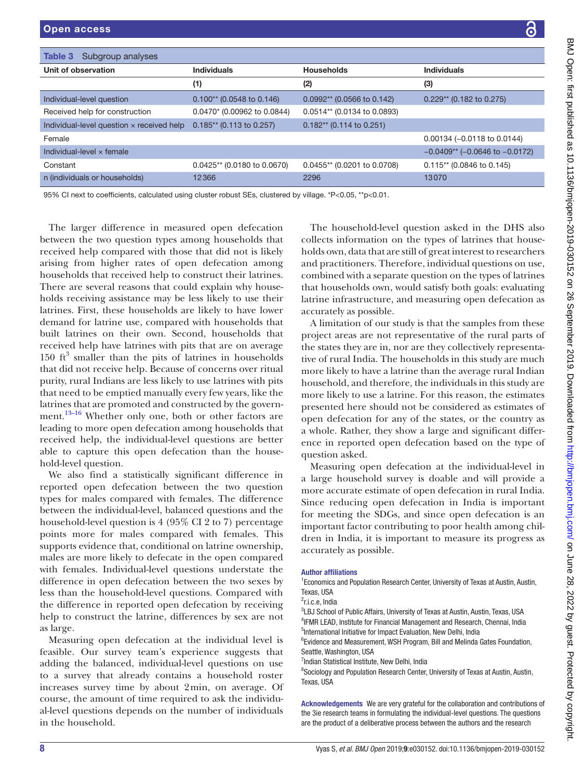<span id="page-7-0"></span>

| Table 3<br>Subgroup analyses                                                                               |                             |                              |                                      |  |  |  |
|------------------------------------------------------------------------------------------------------------|-----------------------------|------------------------------|--------------------------------------|--|--|--|
| Unit of observation                                                                                        | <b>Individuals</b>          | <b>Households</b>            | <b>Individuals</b>                   |  |  |  |
|                                                                                                            | (1)                         | (2)                          | (3)                                  |  |  |  |
| Individual-level question                                                                                  | $0.100**$ (0.0548 to 0.146) | $0.0992**$ (0.0566 to 0.142) | $0.229**$ (0.182 to 0.275)           |  |  |  |
| Received help for construction                                                                             | 0.0470* (0.00962 to 0.0844) | 0.0514** (0.0134 to 0.0893)  |                                      |  |  |  |
| Individual-level question x received help                                                                  | $0.185**$ (0.113 to 0.257)  | $0.182**$ (0.114 to 0.251)   |                                      |  |  |  |
| Female                                                                                                     |                             |                              | 0.00134 (-0.0118 to 0.0144)          |  |  |  |
| Individual-level $\times$ female                                                                           |                             |                              | $-0.0409** (-0.0646)$ to $-0.0172$ ) |  |  |  |
| Constant                                                                                                   | 0.0425** (0.0180 to 0.0670) | 0.0455** (0.0201 to 0.0708)  | $0.115**$ (0.0846 to 0.145)          |  |  |  |
| n (individuals or households)                                                                              | 12366                       | 2296                         | 13070                                |  |  |  |
| 95% CI next to coefficients, calculated using cluster robust SEs, clustered by village. *P<0.05, **p<0.01. |                             |                              |                                      |  |  |  |

The larger difference in measured open defecation between the two question types among households that received help compared with those that did not is likely arising from higher rates of open defecation among households that received help to construct their latrines. There are several reasons that could explain why households receiving assistance may be less likely to use their latrines. First, these households are likely to have lower demand for latrine use, compared with households that built latrines on their own. Second, households that received help have latrines with pits that are on average  $150 \text{ ft}^3$  smaller than the pits of latrines in households that did not receive help. Because of concerns over ritual purity, rural Indians are less likely to use latrines with pits that need to be emptied manually every few years, like the latrines that are promoted and constructed by the government.[13–16](#page-8-11) Whether only one, both or other factors are leading to more open defecation among households that received help, the individual-level questions are better able to capture this open defecation than the household-level question.

We also find a statistically significant difference in reported open defecation between the two question types for males compared with females. The difference between the individual-level, balanced questions and the household-level question is 4 (95% CI 2 to 7) percentage points more for males compared with females. This supports evidence that, conditional on latrine ownership, males are more likely to defecate in the open compared with females. Individual-level questions understate the difference in open defecation between the two sexes by less than the household-level questions. Compared with the difference in reported open defecation by receiving help to construct the latrine, differences by sex are not as large.

Measuring open defecation at the individual level is feasible. Our survey team's experience suggests that adding the balanced, individual-level questions on use to a survey that already contains a household roster increases survey time by about 2min, on average. Of course, the amount of time required to ask the individual-level questions depends on the number of individuals in the household.

The household-level question asked in the DHS also collects information on the types of latrines that households own, data that are still of great interest to researchers and practitioners. Therefore, individual questions on use, combined with a separate question on the types of latrines that households own, would satisfy both goals: evaluating latrine infrastructure, and measuring open defecation as accurately as possible.

A limitation of our study is that the samples from these project areas are not representative of the rural parts of the states they are in, nor are they collectively representative of rural India. The households in this study are much more likely to have a latrine than the average rural Indian household, and therefore, the individuals in this study are more likely to use a latrine. For this reason, the estimates presented here should not be considered as estimates of open defecation for any of the states, or the country as a whole. Rather, they show a large and significant difference in reported open defecation based on the type of question asked.

Measuring open defecation at the individual-level in a large household survey is doable and will provide a more accurate estimate of open defecation in rural India. Since reducing open defecation in India is important for meeting the SDGs, and since open defecation is an important factor contributing to poor health among children in India, it is important to measure its progress as accurately as possible.

### Author affiliations

<sup>1</sup> Economics and Population Research Center, University of Texas at Austin, Austin, Texas, USA

<sup>2</sup>r.i.c.e, India

<sup>3</sup>LBJ School of Public Affairs, University of Texas at Austin, Austin, Texas, USA 4 IFMR LEAD, Institute for Financial Management and Research, Chennai, India

5 International Initiative for Impact Evaluation, New Delhi, India 6 Evidence and Measurement, WSH Program, Bill and Melinda Gates Foundation, Seattle, Washington, USA

<sup>7</sup>Indian Statistical Institute, New Delhi, India

<sup>8</sup> Sociology and Population Research Center, University of Texas at Austin, Austin, Texas, USA

Acknowledgements We are very grateful for the collaboration and contributions of the 3ie research teams in formulating the individual-level questions. The questions are the product of a deliberative process between the authors and the research